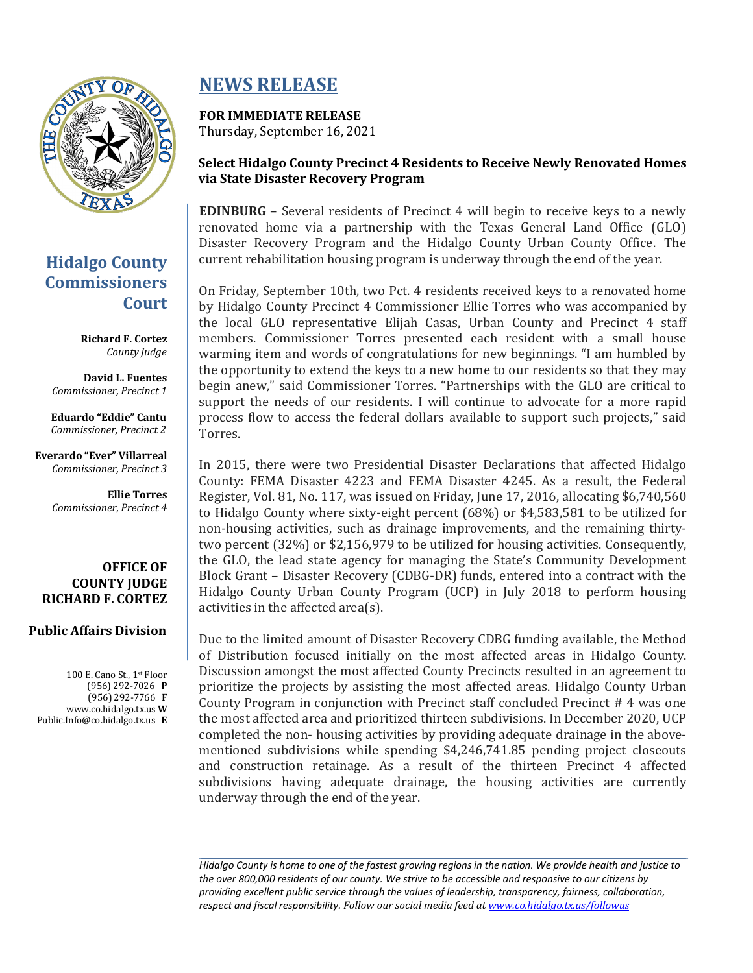

## **Hidalgo County Commissioners Court**

**Richard F. Cortez** *County Judge*

**David L. Fuentes** *Commissioner, Precinct 1*

**Eduardo "Eddie" Cantu** *Commissioner, Precinct 2*

**Everardo "Ever" Villarreal** *Commissioner, Precinct 3*

> **Ellie Torres** *Commissioner, Precinct 4*

**OFFICE OF COUNTY JUDGE RICHARD F. CORTEZ**

#### **Public Affairs Division**

100 E. Cano St., 1st Floor (956) 292-7026 **P** (956) 292-7766 **F** [www.co.hidalgo.tx.us](http://www.co.hidalgo.tx.us/) **W** [Public.Info@co.hidalgo.tx.us](mailto:Public.Info@co.hidalgo.tx.us) **E**

# **NEWS RELEASE**

### **FOR IMMEDIATE RELEASE**

Thursday, September 16, 2021

### **Select Hidalgo County Precinct 4 Residents to Receive Newly Renovated Homes via State Disaster Recovery Program**

**EDINBURG** – Several residents of Precinct 4 will begin to receive keys to a newly renovated home via a partnership with the Texas General Land Office (GLO) Disaster Recovery Program and the Hidalgo County Urban County Office. The current rehabilitation housing program is underway through the end of the year.

On Friday, September 10th, two Pct. 4 residents received keys to a renovated home by Hidalgo County Precinct 4 Commissioner Ellie Torres who was accompanied by the local GLO representative Elijah Casas, Urban County and Precinct 4 staff members. Commissioner Torres presented each resident with a small house warming item and words of congratulations for new beginnings. "I am humbled by the opportunity to extend the keys to a new home to our residents so that they may begin anew," said Commissioner Torres. "Partnerships with the GLO are critical to support the needs of our residents. I will continue to advocate for a more rapid process flow to access the federal dollars available to support such projects," said Torres.

In 2015, there were two Presidential Disaster Declarations that affected Hidalgo County: FEMA Disaster 4223 and FEMA Disaster 4245. As a result, the Federal Register, Vol. 81, No. 117, was issued on Friday, June 17, 2016, allocating \$6,740,560 to Hidalgo County where sixty-eight percent (68%) or \$4,583,581 to be utilized for non-housing activities, such as drainage improvements, and the remaining thirtytwo percent (32%) or \$2,156,979 to be utilized for housing activities. Consequently, the GLO, the lead state agency for managing the State's Community Development Block Grant – Disaster Recovery (CDBG-DR) funds, entered into a contract with the Hidalgo County Urban County Program (UCP) in July 2018 to perform housing activities in the affected area(s).

Due to the limited amount of Disaster Recovery CDBG funding available, the Method of Distribution focused initially on the most affected areas in Hidalgo County. Discussion amongst the most affected County Precincts resulted in an agreement to prioritize the projects by assisting the most affected areas. Hidalgo County Urban County Program in conjunction with Precinct staff concluded Precinct # 4 was one the most affected area and prioritized thirteen subdivisions. In December 2020, UCP completed the non- housing activities by providing adequate drainage in the abovementioned subdivisions while spending \$4,246,741.85 pending project closeouts and construction retainage. As a result of the thirteen Precinct 4 affected subdivisions having adequate drainage, the housing activities are currently underway through the end of the year.

Hidalgo County is home to one of the fastest growing regions in the nation. We provide health and justice to *the over 800,000 residents of our county. We strive to be accessible and responsive to our citizens by providing excellent public service through the values of leadership, transparency, fairness, collaboration, respect and fiscal responsibility. Follow our social media feed a[t www.co.hidalgo.tx.us/followus](http://www.co.hidalgo.tx.us/followus)*